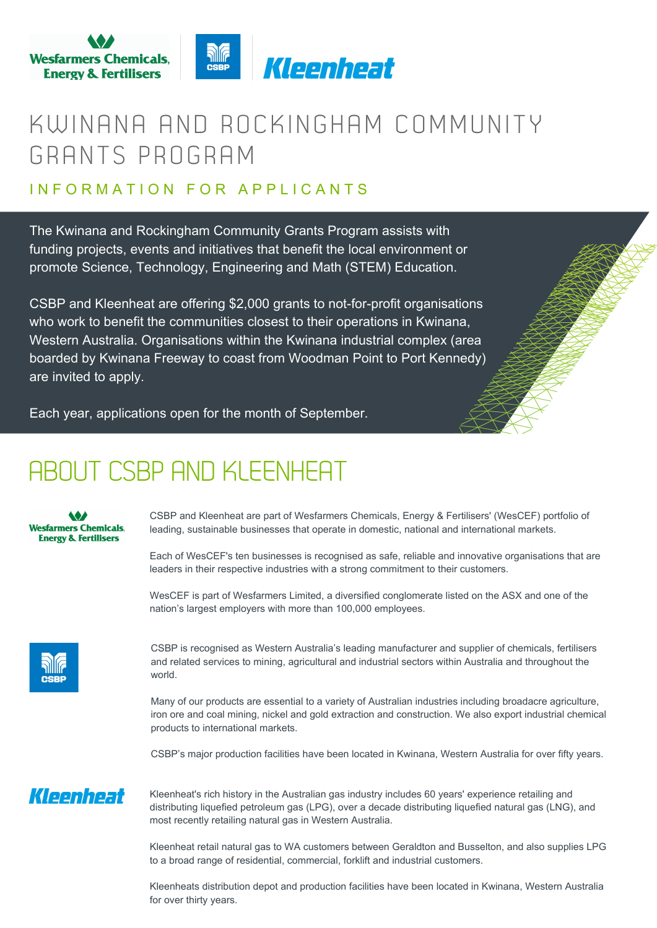

### KWINANA AND ROCKINGHAM COMMUNITY GRANTS PROGRAM

#### IN FOR MATION FOR APPIICANTS

The Kwinana and Rockingham Community Grants Program assists with funding projects, events and initiatives that benefit the local environment or promote Science, Technology, Engineering and Math (STEM) Education.

CSBP and Kleenheat are offering \$2,000 grants to not-for-profit organisations who work to benefit the communities closest to their operations in Kwinana, Western Australia. Organisations within the Kwinana industrial complex (area boarded by Kwinana Freeway to coast from Woodman Point to Port Kennedy) are invited to apply.

Each year, applications open for the month of September.

### ABOUT CSBP AND KLEENHEAT

#### **Wesfarmers Chemicals, Energy & Fertilisers**

CSBP and Kleenheat are part of Wesfarmers Chemicals, Energy & Fertilisers' (WesCEF) portfolio of leading, sustainable businesses that operate in domestic, national and international markets.

Each of WesCEF's ten businesses is recognised as safe, reliable and innovative organisations that are leaders in their respective industries with a strong commitment to their customers.

WesCEF is part of Wesfarmers Limited, a diversified conglomerate listed on the ASX and one of the nation's largest employers with more than 100,000 employees.

|   | <u>NIIf</u> |
|---|-------------|
| п |             |
|   |             |

CSBP is recognised as Western Australia's leading manufacturer and supplier of chemicals, fertilisers and related services to mining, agricultural and industrial sectors within Australia and throughout the world.

Many of our products are essential to a variety of Australian industries including broadacre agriculture, iron ore and coal mining, nickel and gold extraction and construction. We also export industrial chemical products to international markets.

CSBP's major production facilities have been located in Kwinana, Western Australia for over fifty years.

#### Kleenheat

Kleenheat's rich history in the Australian gas industry includes 60 years' experience retailing and distributing liquefied petroleum gas (LPG), over a decade distributing liquefied natural gas (LNG), and most recently retailing natural gas in Western Australia.

Kleenheat retail natural gas to WA customers between Geraldton and Busselton, and also supplies LPG to a broad range of residential, commercial, forklift and industrial customers.

Kleenheats distribution depot and production facilities have been located in Kwinana, Western Australia for over thirty years.